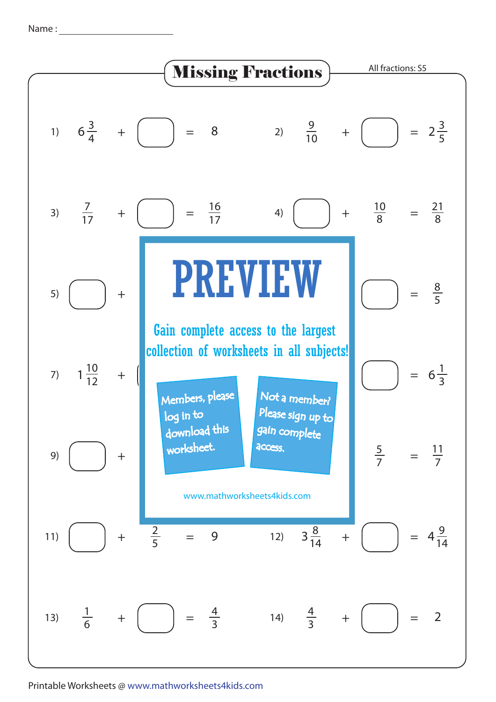